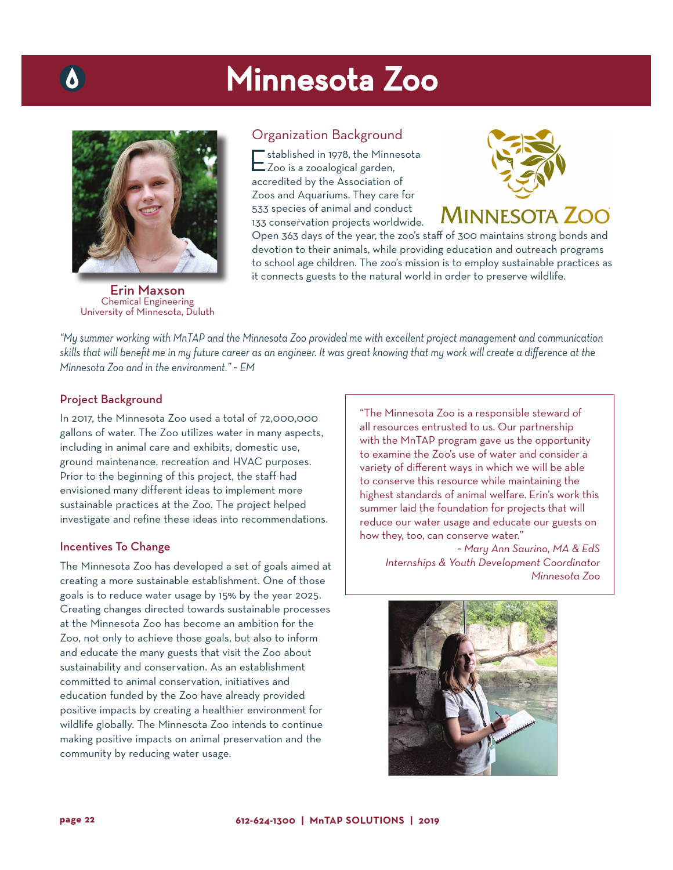## Minnesota Zoo



Erin Maxson Chemical Engineering University of Minnesota, Duluth

#### Organization Background

Established in 1978, the Minnesota Zoo is a zooalogical garden, accredited by the Association of Zoos and Aquariums. They care for 533 species of animal and conduct 133 conservation projects worldwide.



### **MINNESOTA ZOO**

Open 363 days of the year, the zoo's staff of 300 maintains strong bonds and devotion to their animals, while providing education and outreach programs to school age children. The zoo's mission is to employ sustainable practices as it connects guests to the natural world in order to preserve wildlife.

*"My summer working with MnTAP and the Minnesota Zoo provided me with excellent project management and communication skills that will benefit me in my future career as an engineer. It was great knowing that my work will create a difference at the Minnesota Zoo and in the environment." ~ EM*

#### Project Background

In 2017, the Minnesota Zoo used a total of 72,000,000 gallons of water. The Zoo utilizes water in many aspects, including in animal care and exhibits, domestic use, ground maintenance, recreation and HVAC purposes. Prior to the beginning of this project, the staff had envisioned many different ideas to implement more sustainable practices at the Zoo. The project helped investigate and refine these ideas into recommendations.

#### Incentives To Change

The Minnesota Zoo has developed a set of goals aimed at creating a more sustainable establishment. One of those goals is to reduce water usage by 15% by the year 2025. Creating changes directed towards sustainable processes at the Minnesota Zoo has become an ambition for the Zoo, not only to achieve those goals, but also to inform and educate the many guests that visit the Zoo about sustainability and conservation. As an establishment committed to animal conservation, initiatives and education funded by the Zoo have already provided positive impacts by creating a healthier environment for wildlife globally. The Minnesota Zoo intends to continue making positive impacts on animal preservation and the community by reducing water usage.

"The Minnesota Zoo is a responsible steward of all resources entrusted to us. Our partnership with the MnTAP program gave us the opportunity to examine the Zoo's use of water and consider a variety of different ways in which we will be able to conserve this resource while maintaining the highest standards of animal welfare. Erin's work this summer laid the foundation for projects that will reduce our water usage and educate our guests on how they, too, can conserve water."

*~ Mary Ann Saurino, MA & EdS Internships & Youth Development Coordinator Minnesota Zoo*